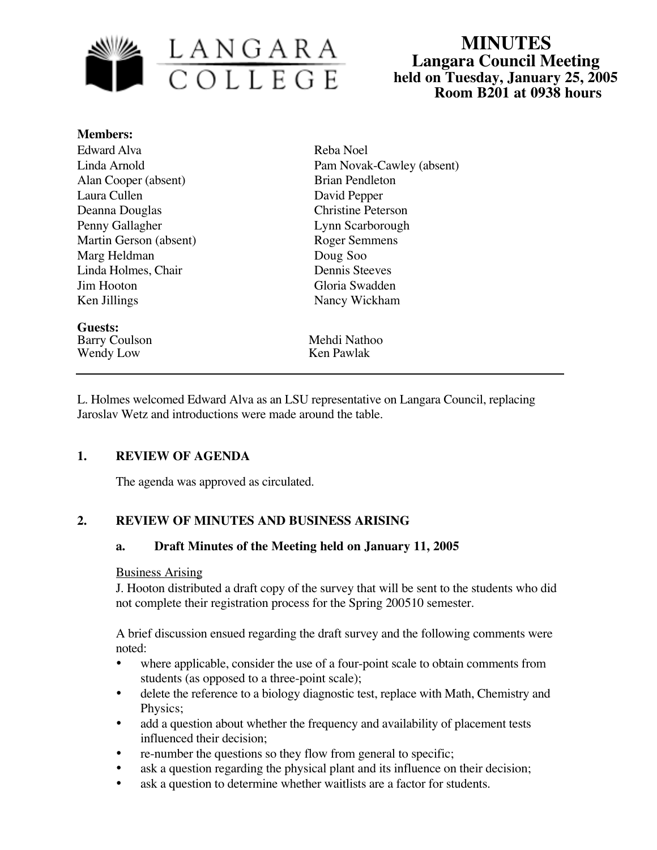

# **MINUTES Langara Council Meeting held on Tuesday, January 25, 2005 Room B201 at 0938 hours**

| <b>Members:</b>        |                           |
|------------------------|---------------------------|
| Edward Alva            | Reba Noel                 |
| Linda Arnold           | Pam Novak-Cawley (absent) |
| Alan Cooper (absent)   | <b>Brian Pendleton</b>    |
| Laura Cullen           | David Pepper              |
| Deanna Douglas         | <b>Christine Peterson</b> |
| Penny Gallagher        | Lynn Scarborough          |
| Martin Gerson (absent) | Roger Semmens             |
| Marg Heldman           | Doug Soo                  |
| Linda Holmes, Chair    | <b>Dennis Steeves</b>     |
| Jim Hooton             | Gloria Swadden            |
| Ken Jillings           | Nancy Wickham             |
| Guests:                |                           |
| <b>Barry Coulson</b>   | Mehdi Nathoo              |
| Wendy Low              | Ken Pawlak                |

L. Holmes welcomed Edward Alva as an LSU representative on Langara Council, replacing Jaroslav Wetz and introductions were made around the table.

### **1. REVIEW OF AGENDA**

The agenda was approved as circulated.

# **2. REVIEW OF MINUTES AND BUSINESS ARISING**

### **a. Draft Minutes of the Meeting held on January 11, 2005**

### Business Arising

J. Hooton distributed a draft copy of the survey that will be sent to the students who did not complete their registration process for the Spring 200510 semester.

A brief discussion ensued regarding the draft survey and the following comments were noted:

- where applicable, consider the use of a four-point scale to obtain comments from students (as opposed to a three-point scale);
- delete the reference to a biology diagnostic test, replace with Math, Chemistry and Physics;
- add a question about whether the frequency and availability of placement tests influenced their decision;
- re-number the questions so they flow from general to specific;
- ask a question regarding the physical plant and its influence on their decision;
- ask a question to determine whether waitlists are a factor for students.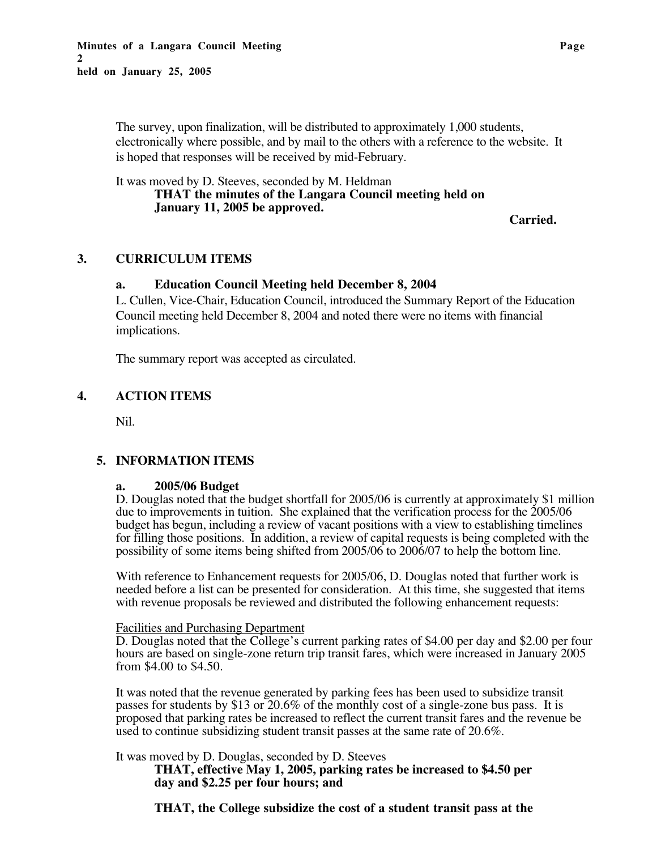The survey, upon finalization, will be distributed to approximately 1,000 students, electronically where possible, and by mail to the others with a reference to the website. It is hoped that responses will be received by mid-February.

### It was moved by D. Steeves, seconded by M. Heldman **THAT the minutes of the Langara Council meeting held on January 11, 2005 be approved.**

**Carried.**

# **3. CURRICULUM ITEMS**

### **a. Education Council Meeting held December 8, 2004**

L. Cullen, Vice-Chair, Education Council, introduced the Summary Report of the Education Council meeting held December 8, 2004 and noted there were no items with financial implications.

The summary report was accepted as circulated.

# **4. ACTION ITEMS**

Nil.

# **5. INFORMATION ITEMS**

### **a. 2005/06 Budget**

D. Douglas noted that the budget shortfall for 2005/06 is currently at approximately \$1 million due to improvements in tuition. She explained that the verification process for the 2005/06 budget has begun, including a review of vacant positions with a view to establishing timelines for filling those positions. In addition, a review of capital requests is being completed with the possibility of some items being shifted from 2005/06 to 2006/07 to help the bottom line.

With reference to Enhancement requests for 2005/06, D. Douglas noted that further work is needed before a list can be presented for consideration. At this time, she suggested that items with revenue proposals be reviewed and distributed the following enhancement requests:

### Facilities and Purchasing Department

D. Douglas noted that the College's current parking rates of \$4.00 per day and \$2.00 per four hours are based on single-zone return trip transit fares, which were increased in January 2005 from \$4.00 to \$4.50.

It was noted that the revenue generated by parking fees has been used to subsidize transit passes for students by \$13 or 20.6% of the monthly cost of a single-zone bus pass. It is proposed that parking rates be increased to reflect the current transit fares and the revenue be used to continue subsidizing student transit passes at the same rate of 20.6%.

It was moved by D. Douglas, seconded by D. Steeves

**THAT, effective May 1, 2005, parking rates be increased to \$4.50 per day and \$2.25 per four hours; and**

**THAT, the College subsidize the cost of a student transit pass at the**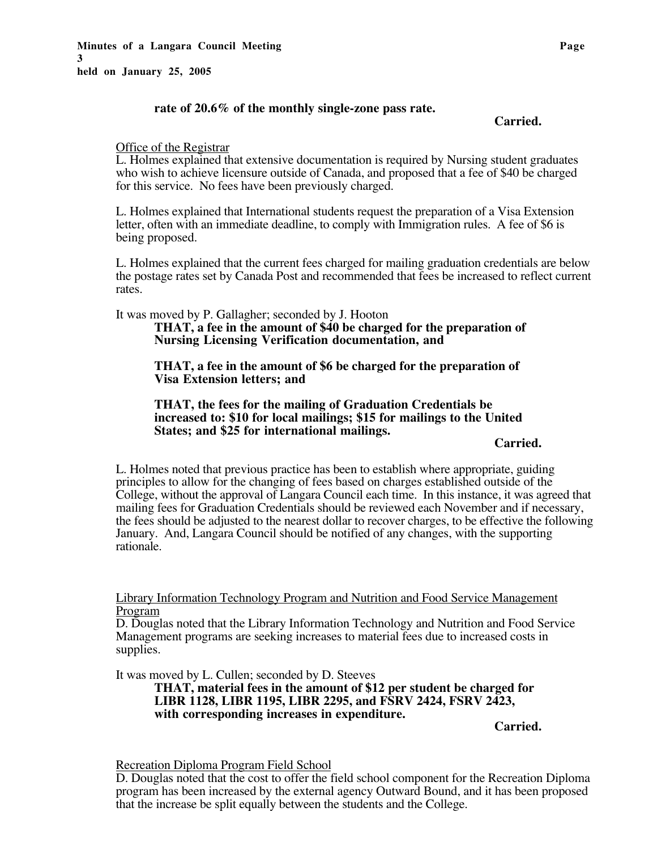### **rate of 20.6% of the monthly single-zone pass rate.**

**Carried.**

#### Office of the Registrar

L. Holmes explained that extensive documentation is required by Nursing student graduates who wish to achieve licensure outside of Canada, and proposed that a fee of \$40 be charged for this service. No fees have been previously charged.

L. Holmes explained that International students request the preparation of a Visa Extension letter, often with an immediate deadline, to comply with Immigration rules. A fee of \$6 is being proposed.

L. Holmes explained that the current fees charged for mailing graduation credentials are below the postage rates set by Canada Post and recommended that fees be increased to reflect current rates.

It was moved by P. Gallagher; seconded by J. Hooton

**THAT, a fee in the amount of \$40 be charged for the preparation of Nursing Licensing Verification documentation, and**

**THAT, a fee in the amount of \$6 be charged for the preparation of Visa Extension letters; and**

#### **THAT, the fees for the mailing of Graduation Credentials be increased to: \$10 for local mailings; \$15 for mailings to the United States; and \$25 for international mailings.**

**Carried.**

L. Holmes noted that previous practice has been to establish where appropriate, guiding principles to allow for the changing of fees based on charges established outside of the College, without the approval of Langara Council each time. In this instance, it was agreed that mailing fees for Graduation Credentials should be reviewed each November and if necessary, the fees should be adjusted to the nearest dollar to recover charges, to be effective the following January. And, Langara Council should be notified of any changes, with the supporting rationale.

Library Information Technology Program and Nutrition and Food Service Management Program

D. Douglas noted that the Library Information Technology and Nutrition and Food Service Management programs are seeking increases to material fees due to increased costs in supplies.

It was moved by L. Cullen; seconded by D. Steeves

**THAT, material fees in the amount of \$12 per student be charged for LIBR 1128, LIBR 1195, LIBR 2295, and FSRV 2424, FSRV 2423, with corresponding increases in expenditure.**

**Carried.**

Recreation Diploma Program Field School

D. Douglas noted that the cost to offer the field school component for the Recreation Diploma program has been increased by the external agency Outward Bound, and it has been proposed that the increase be split equally between the students and the College.